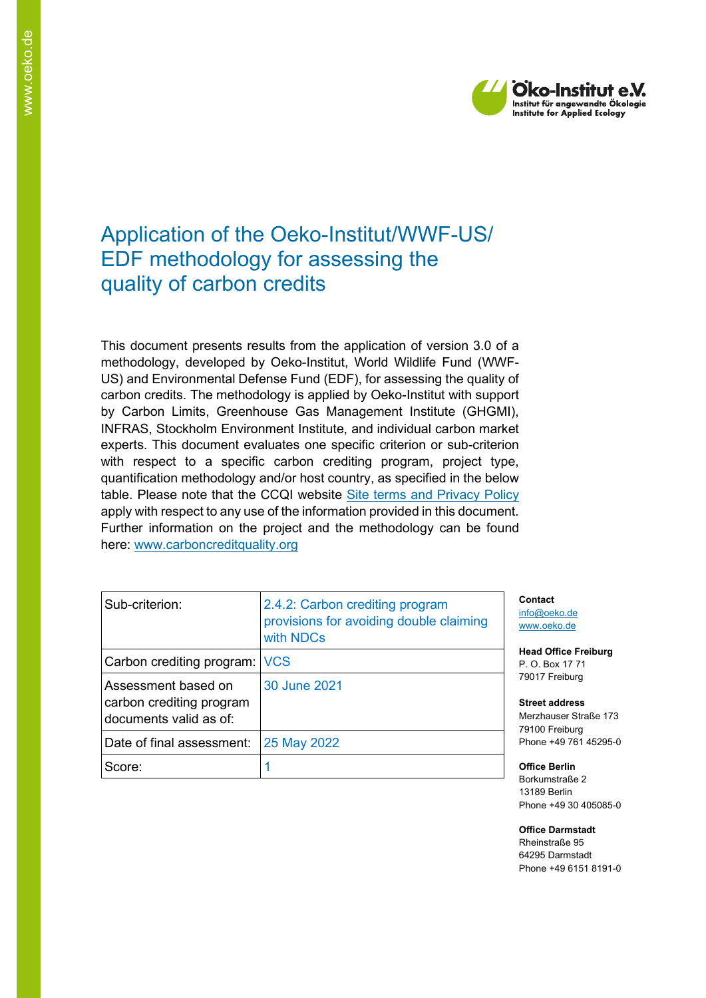

# Application of the Oeko-Institut/WWF-US/ EDF methodology for assessing the quality of carbon credits

This document presents results from the application of version 3.0 of a methodology, developed by Oeko-Institut, World Wildlife Fund (WWF-US) and Environmental Defense Fund (EDF), for assessing the quality of carbon credits. The methodology is applied by Oeko-Institut with support by Carbon Limits, Greenhouse Gas Management Institute (GHGMI), INFRAS, Stockholm Environment Institute, and individual carbon market experts. This document evaluates one specific criterion or sub-criterion with respect to a specific carbon crediting program, project type, quantification methodology and/or host country, as specified in the below table. Please note that the CCQI website [Site terms and Privacy Policy](https://carboncreditquality.org/terms.html) apply with respect to any use of the information provided in this document. Further information on the project and the methodology can be found here: [www.carboncreditquality.org](http://www.carboncreditquality.org/)

| Sub-criterion:                                                            | 2.4.2: Carbon crediting program<br>provisions for avoiding double claiming<br>with NDCs |
|---------------------------------------------------------------------------|-----------------------------------------------------------------------------------------|
| Carbon crediting program: VCS                                             |                                                                                         |
| Assessment based on<br>carbon crediting program<br>documents valid as of: | 30 June 2021                                                                            |
| Date of final assessment:                                                 | 25 May 2022                                                                             |
| Score:                                                                    |                                                                                         |

**Contact** [info@oeko.de](mailto:info@oeko.de) [www.oeko.de](http://www.oeko.de/)

**Head Office Freiburg** P. O. Box 17 71 79017 Freiburg

**Street address** Merzhauser Straße 173 79100 Freiburg Phone +49 761 45295-0

**Office Berlin** Borkumstraße 2 13189 Berlin Phone +49 30 405085-0

**Office Darmstadt** Rheinstraße 95 64295 Darmstadt Phone +49 6151 8191-0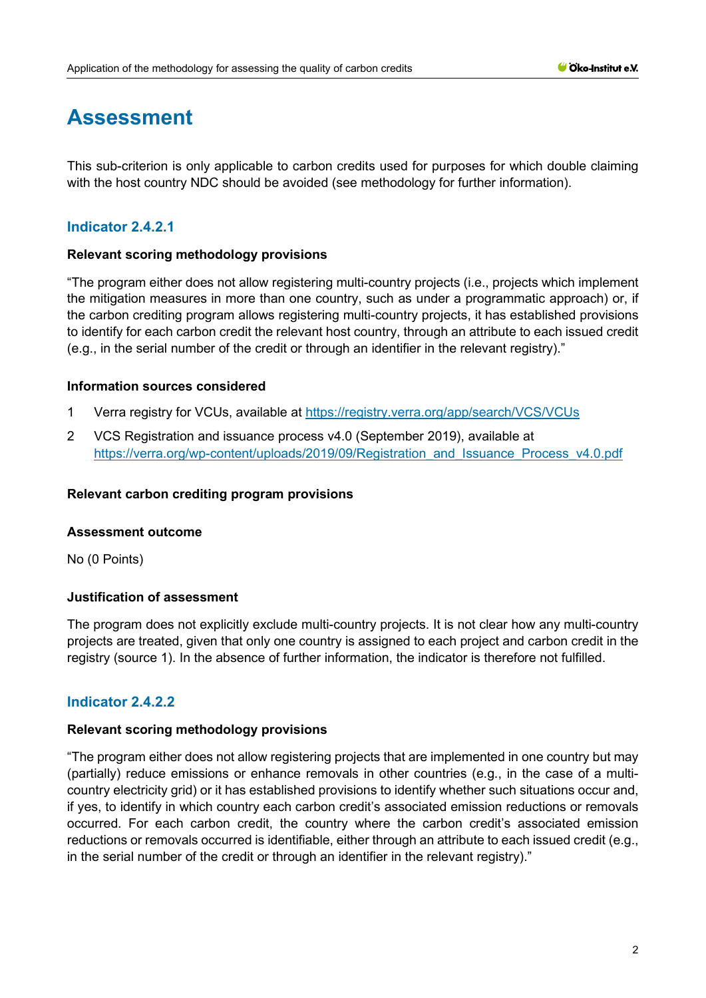# **Assessment**

This sub-criterion is only applicable to carbon credits used for purposes for which double claiming with the host country NDC should be avoided (see methodology for further information).

# **Indicator 2.4.2.1**

# **Relevant scoring methodology provisions**

"The program either does not allow registering multi-country projects (i.e., projects which implement the mitigation measures in more than one country, such as under a programmatic approach) or, if the carbon crediting program allows registering multi-country projects, it has established provisions to identify for each carbon credit the relevant host country, through an attribute to each issued credit (e.g., in the serial number of the credit or through an identifier in the relevant registry)."

# **Information sources considered**

- 1 Verra registry for VCUs, available at<https://registry.verra.org/app/search/VCS/VCUs>
- 2 VCS Registration and issuance process v4.0 (September 2019), available at [https://verra.org/wp-content/uploads/2019/09/Registration\\_and\\_Issuance\\_Process\\_v4.0.pdf](https://verra.org/wp-content/uploads/2019/09/Registration_and_Issuance_Process_v4.0.pdf)

# **Relevant carbon crediting program provisions**

# **Assessment outcome**

No (0 Points)

# **Justification of assessment**

The program does not explicitly exclude multi-country projects. It is not clear how any multi-country projects are treated, given that only one country is assigned to each project and carbon credit in the registry (source 1). In the absence of further information, the indicator is therefore not fulfilled.

# **Indicator 2.4.2.2**

# **Relevant scoring methodology provisions**

"The program either does not allow registering projects that are implemented in one country but may (partially) reduce emissions or enhance removals in other countries (e.g., in the case of a multicountry electricity grid) or it has established provisions to identify whether such situations occur and, if yes, to identify in which country each carbon credit's associated emission reductions or removals occurred. For each carbon credit, the country where the carbon credit's associated emission reductions or removals occurred is identifiable, either through an attribute to each issued credit (e.g., in the serial number of the credit or through an identifier in the relevant registry)."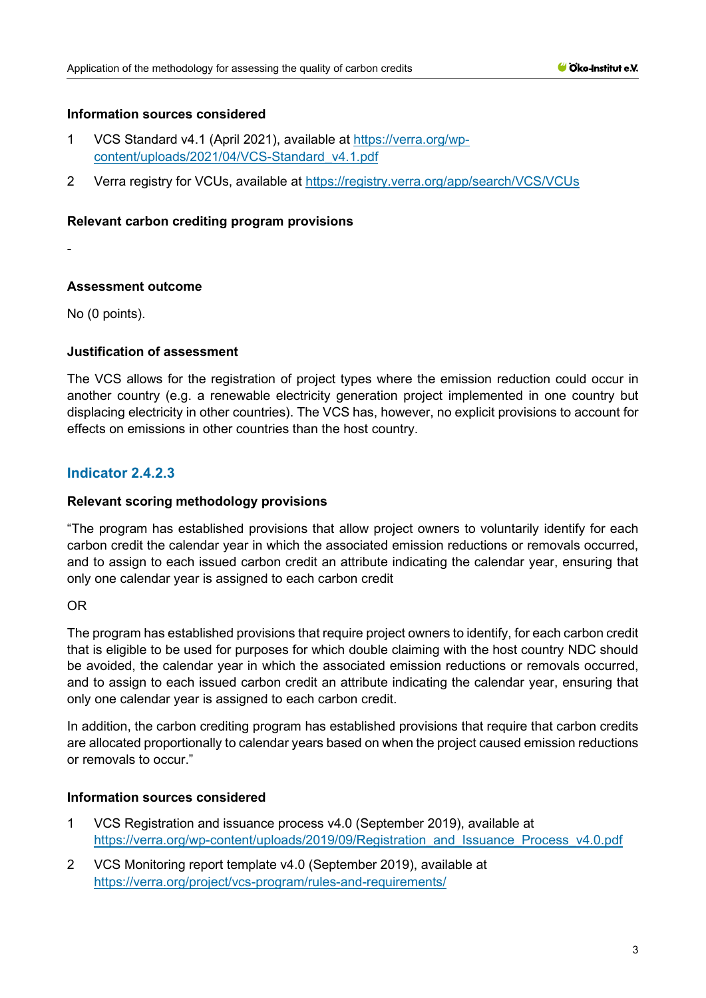# **Information sources considered**

- 1 VCS Standard v4.1 (April 2021), available at [https://verra.org/wp](https://verra.org/wp-content/uploads/2021/04/VCS-Standard_v4.1.pdf)[content/uploads/2021/04/VCS-Standard\\_v4.1.pdf](https://verra.org/wp-content/uploads/2021/04/VCS-Standard_v4.1.pdf)
- 2 Verra registry for VCUs, available at<https://registry.verra.org/app/search/VCS/VCUs>

## **Relevant carbon crediting program provisions**

-

# **Assessment outcome**

No (0 points).

## **Justification of assessment**

The VCS allows for the registration of project types where the emission reduction could occur in another country (e.g. a renewable electricity generation project implemented in one country but displacing electricity in other countries). The VCS has, however, no explicit provisions to account for effects on emissions in other countries than the host country.

# **Indicator 2.4.2.3**

#### **Relevant scoring methodology provisions**

"The program has established provisions that allow project owners to voluntarily identify for each carbon credit the calendar year in which the associated emission reductions or removals occurred, and to assign to each issued carbon credit an attribute indicating the calendar year, ensuring that only one calendar year is assigned to each carbon credit

#### OR

The program has established provisions that require project owners to identify, for each carbon credit that is eligible to be used for purposes for which double claiming with the host country NDC should be avoided, the calendar year in which the associated emission reductions or removals occurred, and to assign to each issued carbon credit an attribute indicating the calendar year, ensuring that only one calendar year is assigned to each carbon credit.

In addition, the carbon crediting program has established provisions that require that carbon credits are allocated proportionally to calendar years based on when the project caused emission reductions or removals to occur."

## **Information sources considered**

- 1 VCS Registration and issuance process v4.0 (September 2019), available at [https://verra.org/wp-content/uploads/2019/09/Registration\\_and\\_Issuance\\_Process\\_v4.0.pdf](https://verra.org/wp-content/uploads/2019/09/Registration_and_Issuance_Process_v4.0.pdf)
- 2 VCS Monitoring report template v4.0 (September 2019), available at <https://verra.org/project/vcs-program/rules-and-requirements/>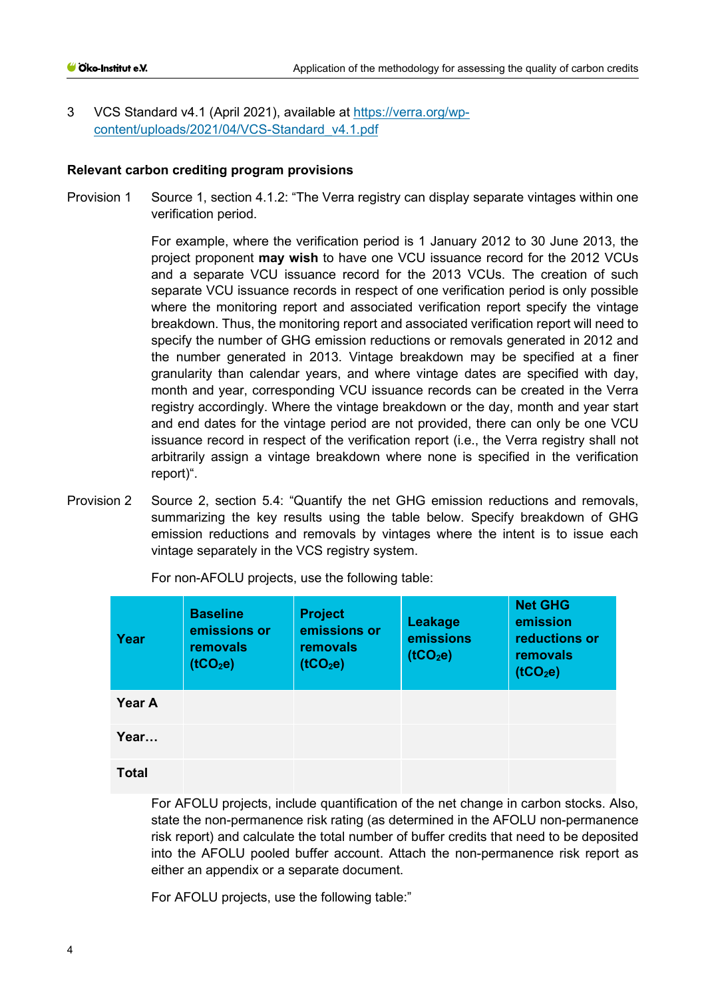3 VCS Standard v4.1 (April 2021), available at [https://verra.org/wp](https://verra.org/wp-content/uploads/2021/04/VCS-Standard_v4.1.pdf)[content/uploads/2021/04/VCS-Standard\\_v4.1.pdf](https://verra.org/wp-content/uploads/2021/04/VCS-Standard_v4.1.pdf)

#### **Relevant carbon crediting program provisions**

Provision 1 Source 1, section 4.1.2: "The Verra registry can display separate vintages within one verification period.

> For example, where the verification period is 1 January 2012 to 30 June 2013, the project proponent **may wish** to have one VCU issuance record for the 2012 VCUs and a separate VCU issuance record for the 2013 VCUs. The creation of such separate VCU issuance records in respect of one verification period is only possible where the monitoring report and associated verification report specify the vintage breakdown. Thus, the monitoring report and associated verification report will need to specify the number of GHG emission reductions or removals generated in 2012 and the number generated in 2013. Vintage breakdown may be specified at a finer granularity than calendar years, and where vintage dates are specified with day, month and year, corresponding VCU issuance records can be created in the Verra registry accordingly. Where the vintage breakdown or the day, month and year start and end dates for the vintage period are not provided, there can only be one VCU issuance record in respect of the verification report (i.e., the Verra registry shall not arbitrarily assign a vintage breakdown where none is specified in the verification report)".

Provision 2 Source 2, section 5.4: "Quantify the net GHG emission reductions and removals, summarizing the key results using the table below. Specify breakdown of GHG emission reductions and removals by vintages where the intent is to issue each vintage separately in the VCS registry system.

| Year         | <b>Baseline</b><br>emissions or<br>removals<br>(tCO <sub>2</sub> e) | <b>Project</b><br>emissions or<br>removals<br>(1CO <sub>2</sub> e) | Leakage<br>emissions<br>(1CO <sub>2</sub> e) | <b>Net GHG</b><br>emission<br>reductions or<br>removals<br>(1CO <sub>2</sub> e) |
|--------------|---------------------------------------------------------------------|--------------------------------------------------------------------|----------------------------------------------|---------------------------------------------------------------------------------|
| Year A       |                                                                     |                                                                    |                                              |                                                                                 |
| Year         |                                                                     |                                                                    |                                              |                                                                                 |
| <b>Total</b> |                                                                     |                                                                    |                                              |                                                                                 |

For non-AFOLU projects, use the following table:

For AFOLU projects, include quantification of the net change in carbon stocks. Also, state the non-permanence risk rating (as determined in the AFOLU non-permanence risk report) and calculate the total number of buffer credits that need to be deposited into the AFOLU pooled buffer account. Attach the non-permanence risk report as either an appendix or a separate document.

For AFOLU projects, use the following table:"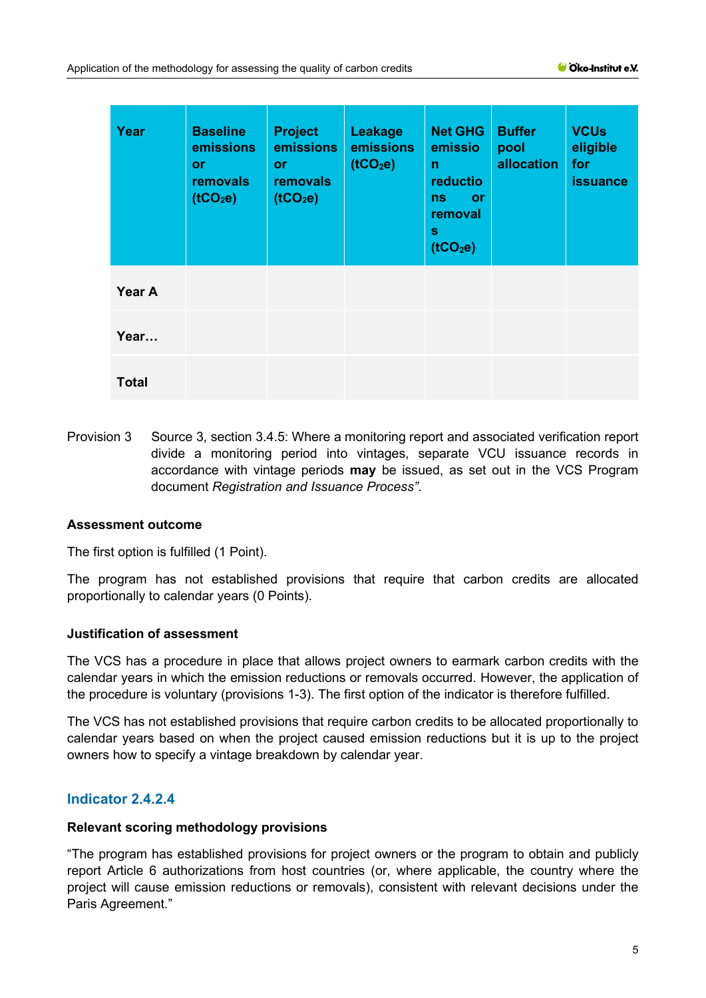| Year         | <b>Baseline</b><br>emissions<br><b>or</b><br>removals<br>(tCO <sub>2</sub> e) | <b>Project</b><br>emissions<br>or<br>removals<br>(1CO <sub>2</sub> e) | Leakage<br>emissions<br>(1CO <sub>2</sub> e) | <b>Net GHG</b><br>emissio<br>$\mathbf n$<br>reductio<br>or<br><b>ns</b><br>removal<br>S<br>(tCO <sub>2</sub> e) | <b>Buffer</b><br>pool<br>allocation | <b>VCUs</b><br>eligible<br>for<br><i>issuance</i> |
|--------------|-------------------------------------------------------------------------------|-----------------------------------------------------------------------|----------------------------------------------|-----------------------------------------------------------------------------------------------------------------|-------------------------------------|---------------------------------------------------|
| Year A       |                                                                               |                                                                       |                                              |                                                                                                                 |                                     |                                                   |
| Year         |                                                                               |                                                                       |                                              |                                                                                                                 |                                     |                                                   |
| <b>Total</b> |                                                                               |                                                                       |                                              |                                                                                                                 |                                     |                                                   |

Provision 3 Source 3, section 3.4.5: Where a monitoring report and associated verification report divide a monitoring period into vintages, separate VCU issuance records in accordance with vintage periods **may** be issued, as set out in the VCS Program document *Registration and Issuance Process"*.

# **Assessment outcome**

The first option is fulfilled (1 Point).

The program has not established provisions that require that carbon credits are allocated proportionally to calendar years (0 Points).

## **Justification of assessment**

The VCS has a procedure in place that allows project owners to earmark carbon credits with the calendar years in which the emission reductions or removals occurred. However, the application of the procedure is voluntary (provisions 1-3). The first option of the indicator is therefore fulfilled.

The VCS has not established provisions that require carbon credits to be allocated proportionally to calendar years based on when the project caused emission reductions but it is up to the project owners how to specify a vintage breakdown by calendar year.

# **Indicator 2.4.2.4**

# **Relevant scoring methodology provisions**

"The program has established provisions for project owners or the program to obtain and publicly report Article 6 authorizations from host countries (or, where applicable, the country where the project will cause emission reductions or removals), consistent with relevant decisions under the Paris Agreement."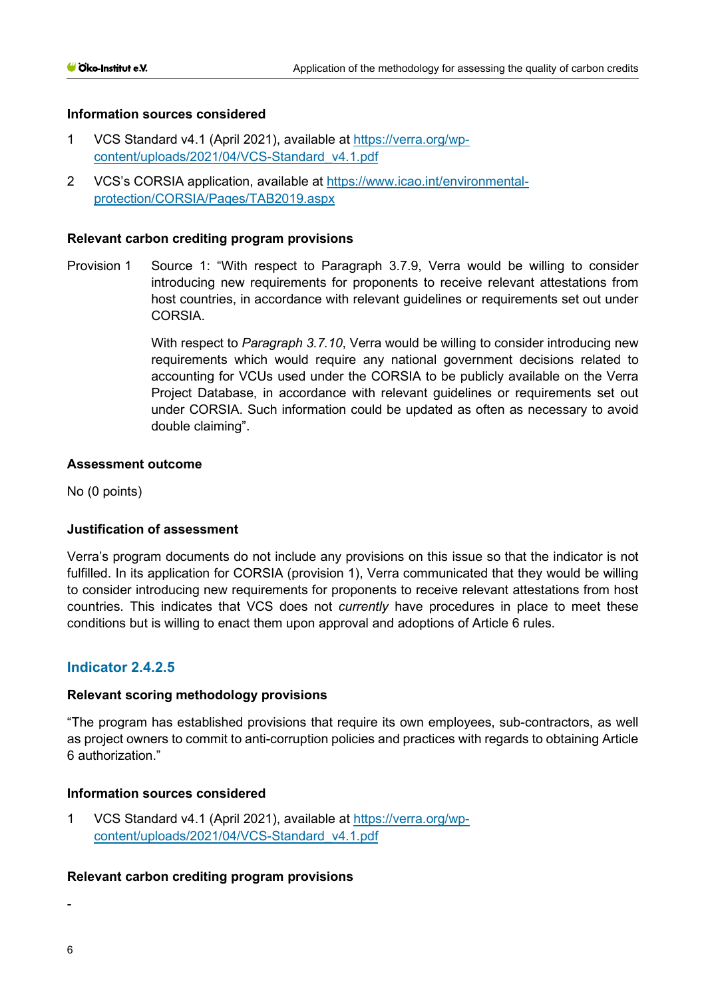## **Information sources considered**

- 1 VCS Standard v4.1 (April 2021), available at [https://verra.org/wp](https://verra.org/wp-content/uploads/2021/04/VCS-Standard_v4.1.pdf)[content/uploads/2021/04/VCS-Standard\\_v4.1.pdf](https://verra.org/wp-content/uploads/2021/04/VCS-Standard_v4.1.pdf)
- 2 VCS's CORSIA application, available at [https://www.icao.int/environmental](https://www.icao.int/environmental-protection/CORSIA/Pages/TAB2019.aspx)[protection/CORSIA/Pages/TAB2019.aspx](https://www.icao.int/environmental-protection/CORSIA/Pages/TAB2019.aspx)

#### **Relevant carbon crediting program provisions**

Provision 1 Source 1: "With respect to Paragraph 3.7.9, Verra would be willing to consider introducing new requirements for proponents to receive relevant attestations from host countries, in accordance with relevant guidelines or requirements set out under CORSIA.

> With respect to *Paragraph 3.7.10*, Verra would be willing to consider introducing new requirements which would require any national government decisions related to accounting for VCUs used under the CORSIA to be publicly available on the Verra Project Database, in accordance with relevant guidelines or requirements set out under CORSIA. Such information could be updated as often as necessary to avoid double claiming".

## **Assessment outcome**

No (0 points)

# **Justification of assessment**

Verra's program documents do not include any provisions on this issue so that the indicator is not fulfilled. In its application for CORSIA (provision 1), Verra communicated that they would be willing to consider introducing new requirements for proponents to receive relevant attestations from host countries. This indicates that VCS does not *currently* have procedures in place to meet these conditions but is willing to enact them upon approval and adoptions of Article 6 rules.

# **Indicator 2.4.2.5**

#### **Relevant scoring methodology provisions**

"The program has established provisions that require its own employees, sub-contractors, as well as project owners to commit to anti-corruption policies and practices with regards to obtaining Article 6 authorization."

#### **Information sources considered**

1 VCS Standard v4.1 (April 2021), available at [https://verra.org/wp](https://verra.org/wp-content/uploads/2021/04/VCS-Standard_v4.1.pdf)[content/uploads/2021/04/VCS-Standard\\_v4.1.pdf](https://verra.org/wp-content/uploads/2021/04/VCS-Standard_v4.1.pdf)

#### **Relevant carbon crediting program provisions**

-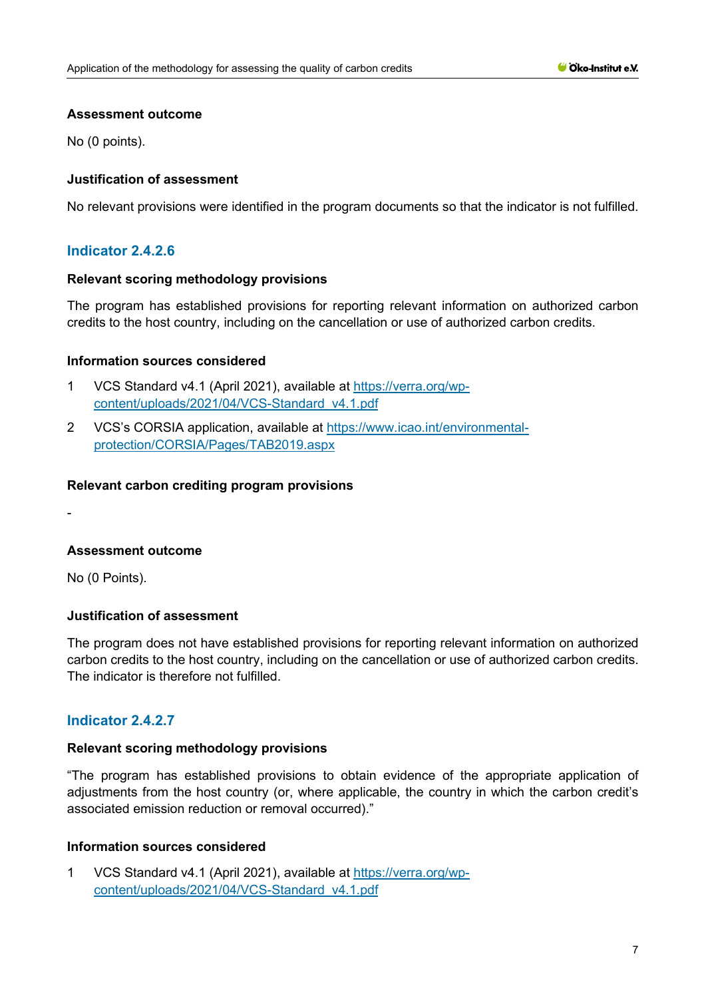## **Assessment outcome**

No (0 points).

# **Justification of assessment**

No relevant provisions were identified in the program documents so that the indicator is not fulfilled.

# **Indicator 2.4.2.6**

## **Relevant scoring methodology provisions**

The program has established provisions for reporting relevant information on authorized carbon credits to the host country, including on the cancellation or use of authorized carbon credits.

## **Information sources considered**

- 1 VCS Standard v4.1 (April 2021), available at [https://verra.org/wp](https://verra.org/wp-content/uploads/2021/04/VCS-Standard_v4.1.pdf)[content/uploads/2021/04/VCS-Standard\\_v4.1.pdf](https://verra.org/wp-content/uploads/2021/04/VCS-Standard_v4.1.pdf)
- 2 VCS's CORSIA application, available at [https://www.icao.int/environmental](https://www.icao.int/environmental-protection/CORSIA/Pages/TAB2019.aspx)[protection/CORSIA/Pages/TAB2019.aspx](https://www.icao.int/environmental-protection/CORSIA/Pages/TAB2019.aspx)

## **Relevant carbon crediting program provisions**

-

# **Assessment outcome**

No (0 Points).

# **Justification of assessment**

The program does not have established provisions for reporting relevant information on authorized carbon credits to the host country, including on the cancellation or use of authorized carbon credits. The indicator is therefore not fulfilled.

# **Indicator 2.4.2.7**

#### **Relevant scoring methodology provisions**

"The program has established provisions to obtain evidence of the appropriate application of adjustments from the host country (or, where applicable, the country in which the carbon credit's associated emission reduction or removal occurred)."

# **Information sources considered**

1 VCS Standard v4.1 (April 2021), available at [https://verra.org/wp](https://verra.org/wp-content/uploads/2021/04/VCS-Standard_v4.1.pdf)[content/uploads/2021/04/VCS-Standard\\_v4.1.pdf](https://verra.org/wp-content/uploads/2021/04/VCS-Standard_v4.1.pdf)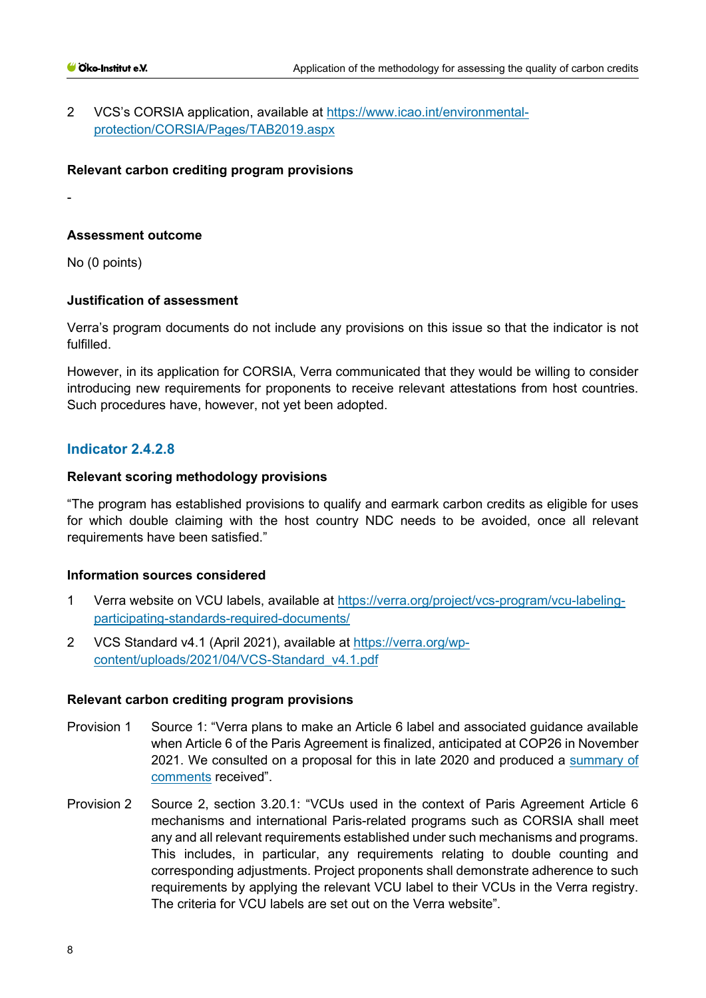2 VCS's CORSIA application, available at [https://www.icao.int/environmental](https://www.icao.int/environmental-protection/CORSIA/Pages/TAB2019.aspx)[protection/CORSIA/Pages/TAB2019.aspx](https://www.icao.int/environmental-protection/CORSIA/Pages/TAB2019.aspx)

#### **Relevant carbon crediting program provisions**

#### **Assessment outcome**

No (0 points)

-

# **Justification of assessment**

Verra's program documents do not include any provisions on this issue so that the indicator is not fulfilled.

However, in its application for CORSIA, Verra communicated that they would be willing to consider introducing new requirements for proponents to receive relevant attestations from host countries. Such procedures have, however, not yet been adopted.

# **Indicator 2.4.2.8**

# **Relevant scoring methodology provisions**

"The program has established provisions to qualify and earmark carbon credits as eligible for uses for which double claiming with the host country NDC needs to be avoided, once all relevant requirements have been satisfied."

# **Information sources considered**

- 1 Verra website on VCU labels, available at [https://verra.org/project/vcs-program/vcu-labeling](https://verra.org/project/vcs-program/vcu-labeling-participating-standards-required-documents/)[participating-standards-required-documents/](https://verra.org/project/vcs-program/vcu-labeling-participating-standards-required-documents/)
- 2 VCS Standard v4.1 (April 2021), available at [https://verra.org/wp](https://verra.org/wp-content/uploads/2021/04/VCS-Standard_v4.1.pdf)[content/uploads/2021/04/VCS-Standard\\_v4.1.pdf](https://verra.org/wp-content/uploads/2021/04/VCS-Standard_v4.1.pdf)

#### **Relevant carbon crediting program provisions**

- Provision 1 Source 1: "Verra plans to make an Article 6 label and associated guidance available when Article 6 of the Paris Agreement is finalized, anticipated at COP26 in November 2021. We consulted on a proposal for this in late 2020 and produced a [summary of](https://verra.org/wp-content/uploads/2021/04/Public-Consultation-Summary-of-Comments-_Future-of-VCM-22-APR-2021.pdf)  [comments](https://verra.org/wp-content/uploads/2021/04/Public-Consultation-Summary-of-Comments-_Future-of-VCM-22-APR-2021.pdf) received".
- Provision 2 Source 2, section 3.20.1: "VCUs used in the context of Paris Agreement Article 6 mechanisms and international Paris-related programs such as CORSIA shall meet any and all relevant requirements established under such mechanisms and programs. This includes, in particular, any requirements relating to double counting and corresponding adjustments. Project proponents shall demonstrate adherence to such requirements by applying the relevant VCU label to their VCUs in the Verra registry. The criteria for VCU labels are set out on the Verra website".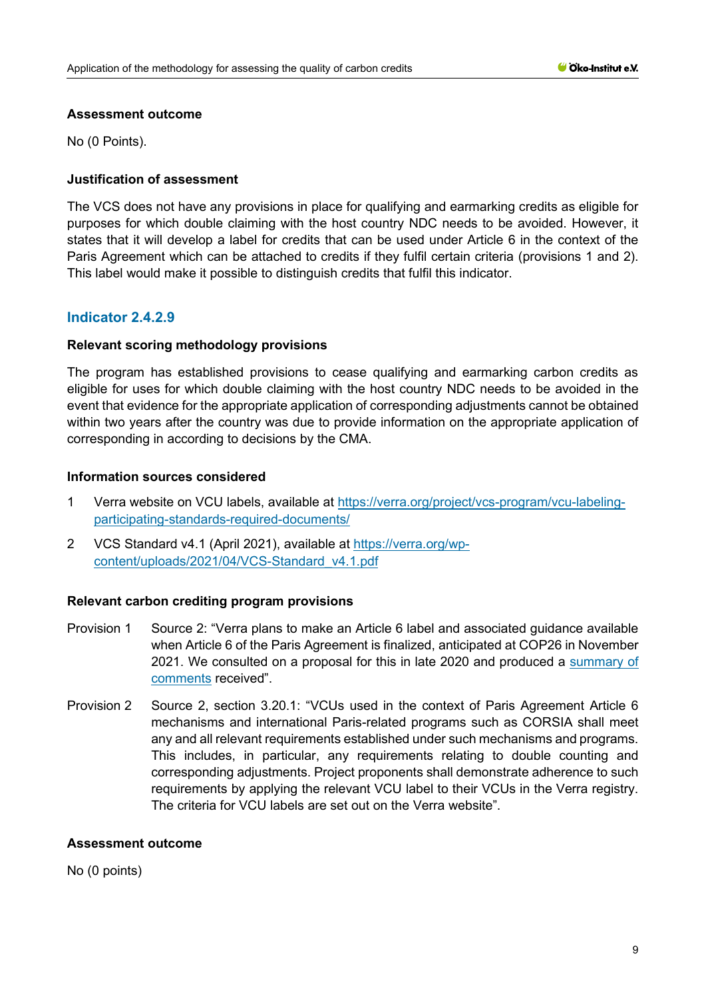## **Assessment outcome**

No (0 Points).

# **Justification of assessment**

The VCS does not have any provisions in place for qualifying and earmarking credits as eligible for purposes for which double claiming with the host country NDC needs to be avoided. However, it states that it will develop a label for credits that can be used under Article 6 in the context of the Paris Agreement which can be attached to credits if they fulfil certain criteria (provisions 1 and 2). This label would make it possible to distinguish credits that fulfil this indicator.

# **Indicator 2.4.2.9**

# **Relevant scoring methodology provisions**

The program has established provisions to cease qualifying and earmarking carbon credits as eligible for uses for which double claiming with the host country NDC needs to be avoided in the event that evidence for the appropriate application of corresponding adjustments cannot be obtained within two years after the country was due to provide information on the appropriate application of corresponding in according to decisions by the CMA.

## **Information sources considered**

- 1 Verra website on VCU labels, available at [https://verra.org/project/vcs-program/vcu-labeling](https://verra.org/project/vcs-program/vcu-labeling-participating-standards-required-documents/)[participating-standards-required-documents/](https://verra.org/project/vcs-program/vcu-labeling-participating-standards-required-documents/)
- 2 VCS Standard v4.1 (April 2021), available at [https://verra.org/wp](https://verra.org/wp-content/uploads/2021/04/VCS-Standard_v4.1.pdf)[content/uploads/2021/04/VCS-Standard\\_v4.1.pdf](https://verra.org/wp-content/uploads/2021/04/VCS-Standard_v4.1.pdf)

# **Relevant carbon crediting program provisions**

- Provision 1 Source 2: "Verra plans to make an Article 6 label and associated guidance available when Article 6 of the Paris Agreement is finalized, anticipated at COP26 in November 2021. We consulted on a proposal for this in late 2020 and produced a [summary of](https://verra.org/wp-content/uploads/2021/04/Public-Consultation-Summary-of-Comments-_Future-of-VCM-22-APR-2021.pdf)  [comments](https://verra.org/wp-content/uploads/2021/04/Public-Consultation-Summary-of-Comments-_Future-of-VCM-22-APR-2021.pdf) received".
- Provision 2 Source 2, section 3.20.1: "VCUs used in the context of Paris Agreement Article 6 mechanisms and international Paris-related programs such as CORSIA shall meet any and all relevant requirements established under such mechanisms and programs. This includes, in particular, any requirements relating to double counting and corresponding adjustments. Project proponents shall demonstrate adherence to such requirements by applying the relevant VCU label to their VCUs in the Verra registry. The criteria for VCU labels are set out on the Verra website".

#### **Assessment outcome**

No (0 points)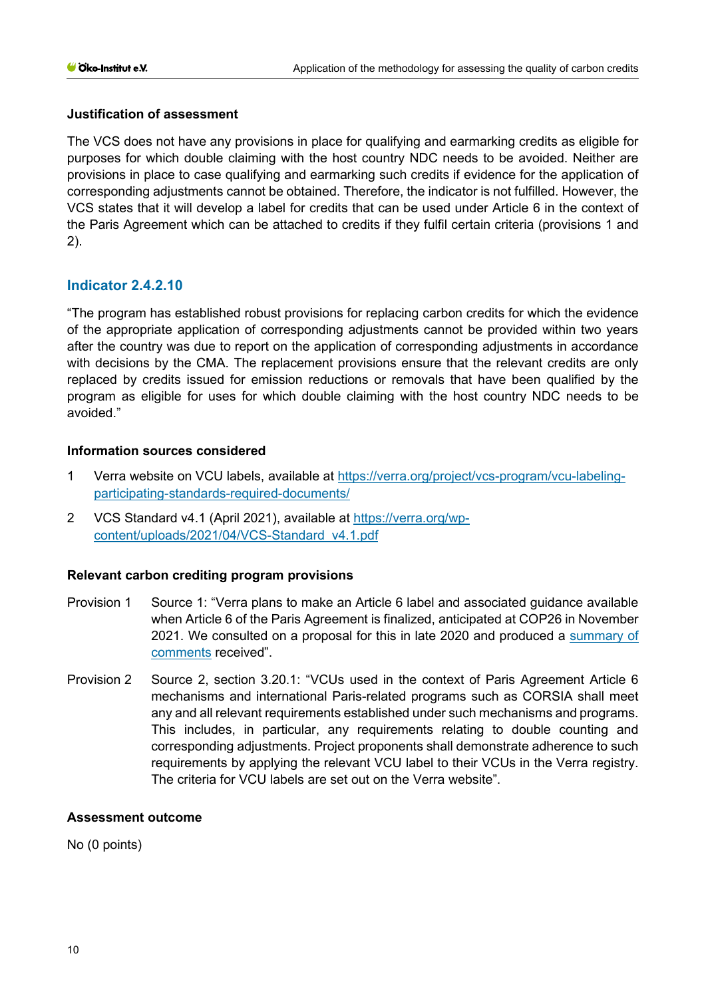# **Justification of assessment**

The VCS does not have any provisions in place for qualifying and earmarking credits as eligible for purposes for which double claiming with the host country NDC needs to be avoided. Neither are provisions in place to case qualifying and earmarking such credits if evidence for the application of corresponding adjustments cannot be obtained. Therefore, the indicator is not fulfilled. However, the VCS states that it will develop a label for credits that can be used under Article 6 in the context of the Paris Agreement which can be attached to credits if they fulfil certain criteria (provisions 1 and 2).

# **Indicator 2.4.2.10**

"The program has established robust provisions for replacing carbon credits for which the evidence of the appropriate application of corresponding adjustments cannot be provided within two years after the country was due to report on the application of corresponding adjustments in accordance with decisions by the CMA. The replacement provisions ensure that the relevant credits are only replaced by credits issued for emission reductions or removals that have been qualified by the program as eligible for uses for which double claiming with the host country NDC needs to be avoided."

# **Information sources considered**

- 1 Verra website on VCU labels, available at [https://verra.org/project/vcs-program/vcu-labeling](https://verra.org/project/vcs-program/vcu-labeling-participating-standards-required-documents/)[participating-standards-required-documents/](https://verra.org/project/vcs-program/vcu-labeling-participating-standards-required-documents/)
- 2 VCS Standard v4.1 (April 2021), available at [https://verra.org/wp](https://verra.org/wp-content/uploads/2021/04/VCS-Standard_v4.1.pdf)[content/uploads/2021/04/VCS-Standard\\_v4.1.pdf](https://verra.org/wp-content/uploads/2021/04/VCS-Standard_v4.1.pdf)

# **Relevant carbon crediting program provisions**

- Provision 1 Source 1: "Verra plans to make an Article 6 label and associated guidance available when Article 6 of the Paris Agreement is finalized, anticipated at COP26 in November 2021. We consulted on a proposal for this in late 2020 and produced a [summary of](https://verra.org/wp-content/uploads/2021/04/Public-Consultation-Summary-of-Comments-_Future-of-VCM-22-APR-2021.pdf)  [comments](https://verra.org/wp-content/uploads/2021/04/Public-Consultation-Summary-of-Comments-_Future-of-VCM-22-APR-2021.pdf) received".
- Provision 2 Source 2, section 3.20.1: "VCUs used in the context of Paris Agreement Article 6 mechanisms and international Paris-related programs such as CORSIA shall meet any and all relevant requirements established under such mechanisms and programs. This includes, in particular, any requirements relating to double counting and corresponding adjustments. Project proponents shall demonstrate adherence to such requirements by applying the relevant VCU label to their VCUs in the Verra registry. The criteria for VCU labels are set out on the Verra website".

# **Assessment outcome**

No (0 points)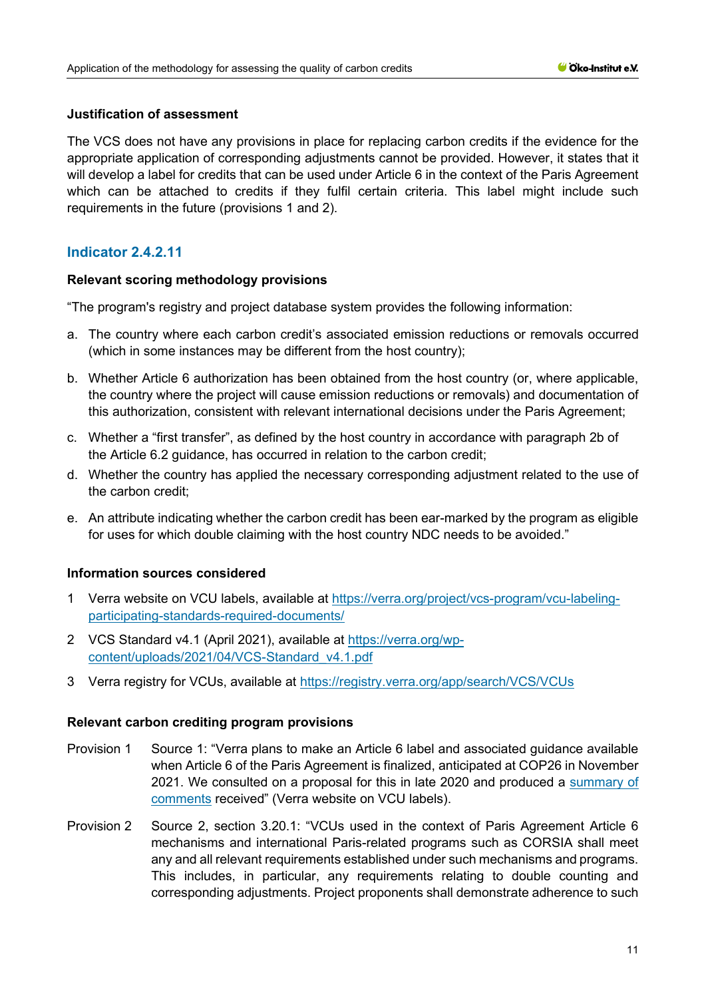## **Justification of assessment**

The VCS does not have any provisions in place for replacing carbon credits if the evidence for the appropriate application of corresponding adjustments cannot be provided. However, it states that it will develop a label for credits that can be used under Article 6 in the context of the Paris Agreement which can be attached to credits if they fulfil certain criteria. This label might include such requirements in the future (provisions 1 and 2).

# **Indicator 2.4.2.11**

# **Relevant scoring methodology provisions**

"The program's registry and project database system provides the following information:

- a. The country where each carbon credit's associated emission reductions or removals occurred (which in some instances may be different from the host country);
- b. Whether Article 6 authorization has been obtained from the host country (or, where applicable, the country where the project will cause emission reductions or removals) and documentation of this authorization, consistent with relevant international decisions under the Paris Agreement;
- c. Whether a "first transfer", as defined by the host country in accordance with paragraph 2b of the Article 6.2 guidance, has occurred in relation to the carbon credit;
- d. Whether the country has applied the necessary corresponding adjustment related to the use of the carbon credit;
- e. An attribute indicating whether the carbon credit has been ear-marked by the program as eligible for uses for which double claiming with the host country NDC needs to be avoided."

# **Information sources considered**

- 1 Verra website on VCU labels, available at [https://verra.org/project/vcs-program/vcu-labeling](https://verra.org/project/vcs-program/vcu-labeling-participating-standards-required-documents/)[participating-standards-required-documents/](https://verra.org/project/vcs-program/vcu-labeling-participating-standards-required-documents/)
- 2 VCS Standard v4.1 (April 2021), available at [https://verra.org/wp](https://verra.org/wp-content/uploads/2021/04/VCS-Standard_v4.1.pdf)[content/uploads/2021/04/VCS-Standard\\_v4.1.pdf](https://verra.org/wp-content/uploads/2021/04/VCS-Standard_v4.1.pdf)
- 3 Verra registry for VCUs, available at<https://registry.verra.org/app/search/VCS/VCUs>

# **Relevant carbon crediting program provisions**

- Provision 1 Source 1: "Verra plans to make an Article 6 label and associated guidance available when Article 6 of the Paris Agreement is finalized, anticipated at COP26 in November 2021. We consulted on a proposal for this in late 2020 and produced a [summary of](https://verra.org/wp-content/uploads/2021/04/Public-Consultation-Summary-of-Comments-_Future-of-VCM-22-APR-2021.pdf)  [comments](https://verra.org/wp-content/uploads/2021/04/Public-Consultation-Summary-of-Comments-_Future-of-VCM-22-APR-2021.pdf) received" (Verra website on VCU labels).
- Provision 2 Source 2, section 3.20.1: "VCUs used in the context of Paris Agreement Article 6 mechanisms and international Paris-related programs such as CORSIA shall meet any and all relevant requirements established under such mechanisms and programs. This includes, in particular, any requirements relating to double counting and corresponding adjustments. Project proponents shall demonstrate adherence to such